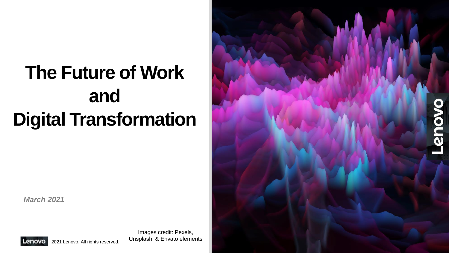## **The Future of Work and Digital Transformation**

*March 2021*



Lenovo 2021 Lenovo. All rights reserved.

Images credit: Pexels, Unsplash, & Envato elements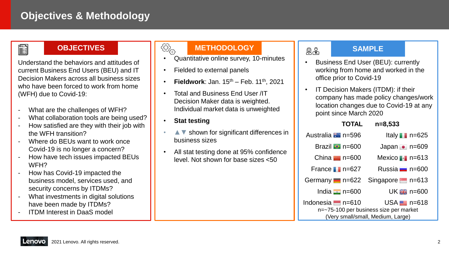### **Objectives & Methodology**

### **E**

#### **OBJECTIVES**

Understand the behaviors and attitudes of current Business End Users (BEU) and IT Decision Makers across all business sizes who have been forced to work from home (WFH) due to Covid-19:

- What are the challenges of WFH?
- What collaboration tools are being used?
- How satisfied are they with their job with the WFH transition?
- Where do BEUs want to work once Covid-19 is no longer a concern?
- How have tech issues impacted BEUs WFH?
- How has Covid-19 impacted the business model, services used, and security concerns by ITDMs?
- What investments in digital solutions have been made by ITDMs?
- ITDM Interest in DaaS model

### **METHODOLOGY**

- Quantitative online survey, 10-minutes
- Fielded to external panels
- **Fieldwork**: Jan.  $15^{th}$  Feb.  $11^{th}$ , 2021
- Total and Business End User /IT Decision Maker data is weighted. Individual market data is unweighted
- **Stat testing**

@ු

- *▲▼* shown for significant differences in business sizes
- All stat testing done at 95% confidence level. Not shown for base sizes <50

### **SAMPLE**

 $R_{\infty}$ 

- Business End User (BEU): currently working from home and worked in the office prior to Covid-19
- IT Decision Makers (ITDM): if their company has made policy changes/work location changes due to Covid-19 at any point since March 2020

| <b>TOTAL</b>                      |  | $n=8,533$                                                      |
|-----------------------------------|--|----------------------------------------------------------------|
| Australia <b>**</b> n=596         |  | Italy n=625                                                    |
| Brazil $\bullet$ n=600            |  | Japan • n=609                                                  |
| China $n = 600$                   |  | Mexico $\blacksquare$ n=613                                    |
| France $n = 627$                  |  | Russia $\blacksquare$ n=600                                    |
| Germany $n = 622$                 |  | Singapore n=613                                                |
| India $\blacksquare$ n=600        |  | UK $H$ n=600                                                   |
| Indonesia – n=610                 |  | $USA \equiv n = 618$<br>n=~75-100 per business size per market |
| (Very small/small, Medium, Large) |  |                                                                |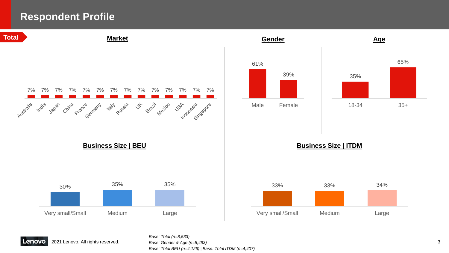### **Respondent Profile**

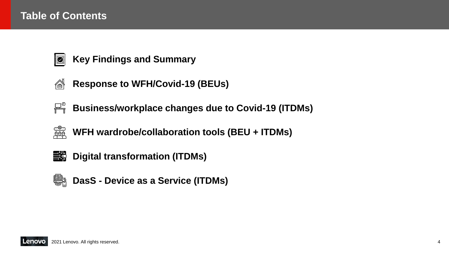### **Table of Contents**



- **Key Findings and Summary**
- **Response to WFH/Covid-19 (BEUs)** അ
- **Business/workplace changes due to Covid-19 (ITDMs)**
- त्या<br>संघद **WFH wardrobe/collaboration tools (BEU + ITDMs)**



**Digital transformation (ITDMs)**



**Endshiff** DasS - Device as a Service (ITDMs)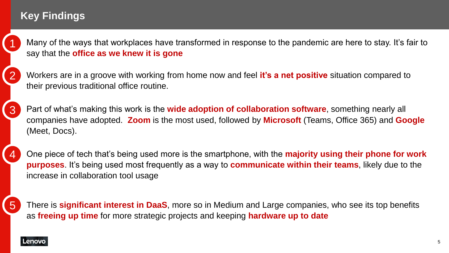## **Key Findings**

1

2

4

• Many of the ways that workplaces have transformed in response to the pandemic are here to stay. It's fair to say that the **office as we knew it is gone**

• Workers are in a groove with working from home now and feel **it's a net positive** situation compared to their previous traditional office routine.

• Part of what's making this work is the **wide adoption of collaboration software**, something nearly all companies have adopted. **Zoom** is the most used, followed by **Microsoft** (Teams, Office 365) and **Google** (Meet, Docs). 3

• One piece of tech that's being used more is the smartphone, with the **majority using their phone for work purposes**. It's being used most frequently as a way to **communicate within their teams**, likely due to the increase in collaboration tool usage

• There is **significant interest in DaaS**, more so in Medium and Large companies, who see its top benefits as **freeing up time** for more strategic projects and keeping **hardware up to date** 5

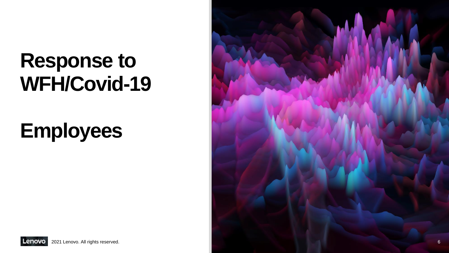## **Response to WFH/Covid-19**

## **Employees**



Lenovo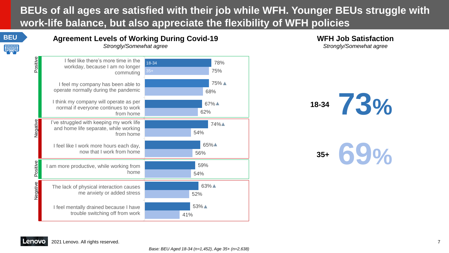### **BEUs of all ages are satisfied with their job while WFH. Younger BEUs struggle with work-life balance, but also appreciate the flexibility of WFH policies**

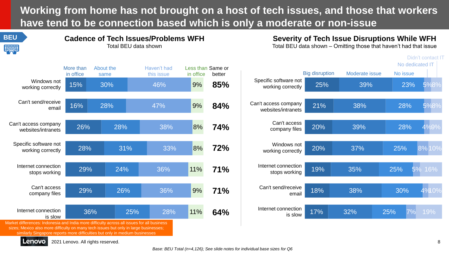**Working from home has not brought on a host of tech issues, and those that workers have tend to be connection based which is only a moderate or non-issue**



#### **Cadence of Tech Issues/Problems WFH** Total BEU data shown

**Severity of Tech Issue Disruptions While WFH** Total BEU data shown – Omitting those that haven't had that issue





sizes; Mexico also more difficulty on many tech issues but only in large businesses; similarly Singapore reports more difficulties but only in medium businesses

Lenovo 2021 Lenovo. All rights reserved.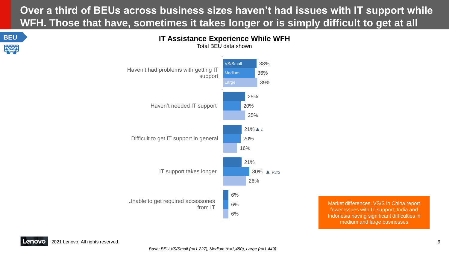## **Over a third of BEUs across business sizes haven't had issues with IT support while WFH. Those that have, sometimes it takes longer or is simply difficult to get at all**





**IT Assistance Experience While WFH** Total BEU data shown

> Market differences: VS/S in China report fewer issues with IT support; India and Indonesia having significant difficulties in medium and large businesses

Lenovo 2021 Lenovo. All rights reserved.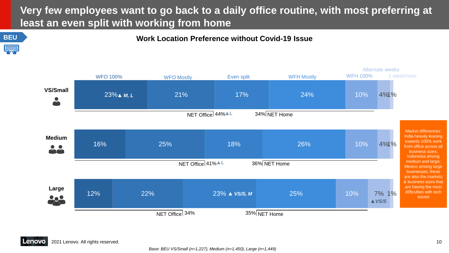## **Very few employees want to go back to a daily office routine, with most preferring at least an even split with working from home**



**BEU Work Location Preference without Covid-19 Issue**

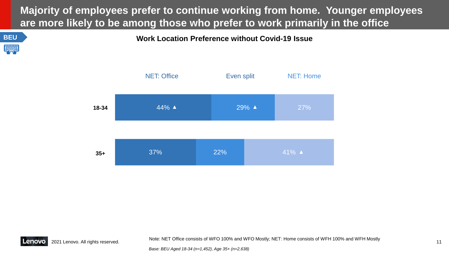### **Majority of employees prefer to continue working from home. Younger employees are more likely to be among those who prefer to work primarily in the office**





Note: NET Office consists of WFO 100% and WFO Mostly; NET: Home consists of WFH 100% and WFH Mostly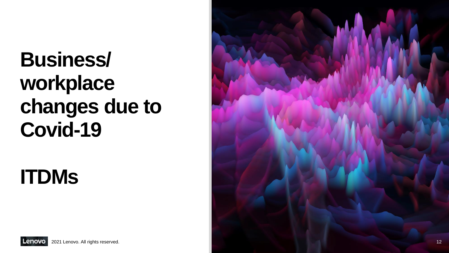## **Business/ workplace changes due to Covid -19**

## **ITDMs**

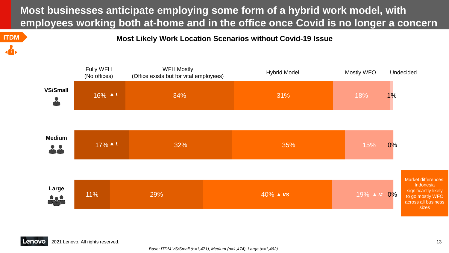**Most businesses anticipate employing some form of a hybrid work model, with employees working both at-home and in the office once Covid is no longer a concern**

**ITDM Most Likely Work Location Scenarios without Covid-19 Issue** 

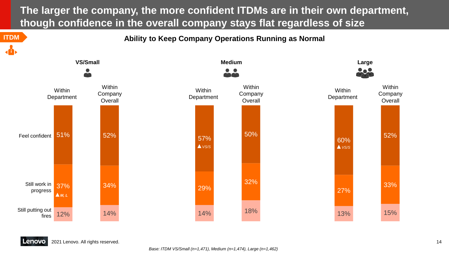**The larger the company, the more confident ITDMs are in their own department, though confidence in the overall company stays flat regardless of size**

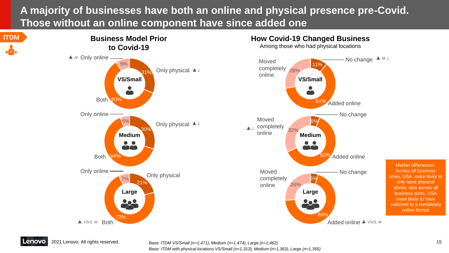### **A majority of businesses have both an online and physical presence pre-Covid. Those without an online component have since added one**





Added online *▲ VS/S, M*

Market differences: Across all business sizes, USA more likely to only have physical stores; also across all business sizes, USA more likely to have switched to a completely online format

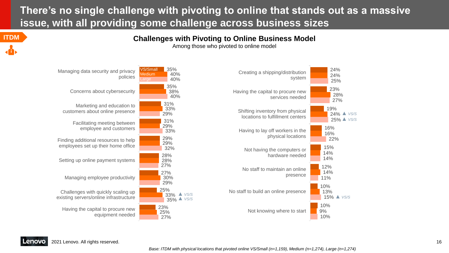### **There's no single challenge with pivoting to online that stands out as a massive issue, with all providing some challenge across business sizes**

#### **ITDM Challenges with Pivoting to Online Business Model**

Among those who pivoted to online model



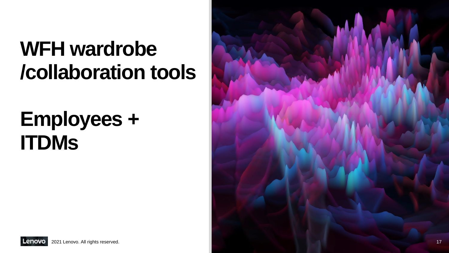## **WFH wardrobe /collaboration tools**

## **Employees + ITDMs**

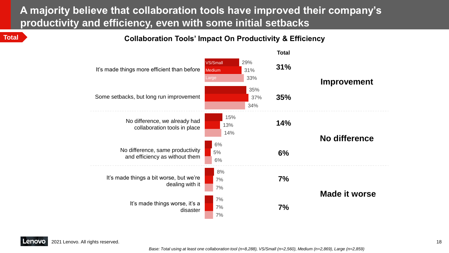### **A majority believe that collaboration tools have improved their company's productivity and efficiency, even with some initial setbacks**

**Total Collaboration Tools' Impact On Productivity & Efficiency**

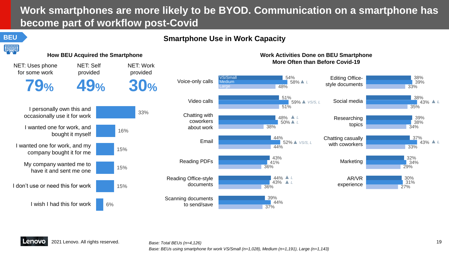## **Work smartphones are more likely to be BYOD. Communication on a smartphone has become part of workflow post-Covid**

#### **BEU Smartphone Use in Work Capacity**



*Base: BEUs using smartphone for work VS/Small (n=1,028), Medium (n=1,191), Large (n=1,143)*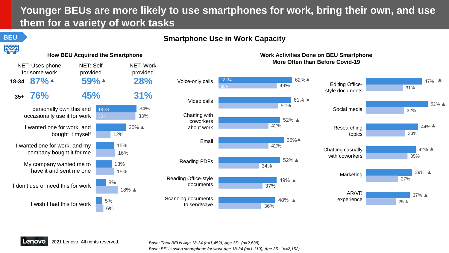## **Younger BEUs are more likely to use smartphones for work, bring their own, and use them for a variety of work tasks**

### **BEU Smartphone Use in Work Capacity**







#### **How BEU Acquired the Smartphone Monetable 2018 The Smartphone Work Activities Done on BEU Smartphone More Often than Before Covid-19**

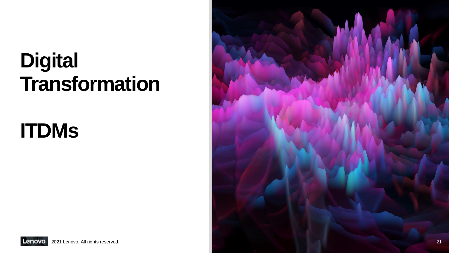## **Digital Transformation**

## **ITDMs**



Lenovo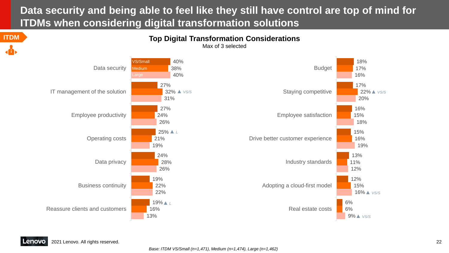## **Data security and being able to feel like they still have control are top of mind for ITDMs when considering digital transformation solutions**



18%

17%

16%

17%

20%

22% *▲ VS/S*

16%

15%

18%

15%

16%

19%

13%

11%

12%

12%

15%

9% *▲ VS/S*

16% *▲ VS/S*

6%

6%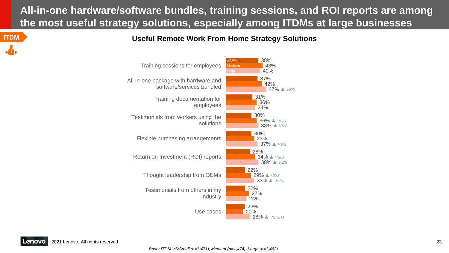## **All-in-one hardware/software bundles, training sessions, and ROI reports are among the most useful strategy solutions, especially among ITDMs at large businesses**

**ITDM Useful Remote Work From Home Strategy Solutions**

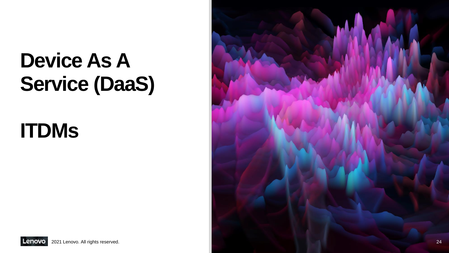## **Device As A Service (DaaS)**

## **ITDMs**



Lenovo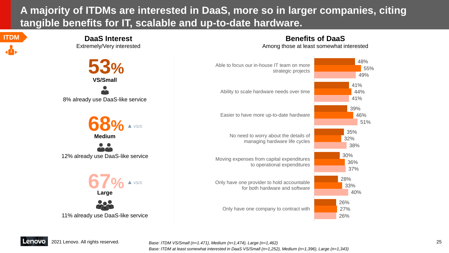### **A majority of ITDMs are interested in DaaS, more so in larger companies, citing tangible benefits for IT, scalable and up-to-date hardware.**







Among those at least somewhat interested